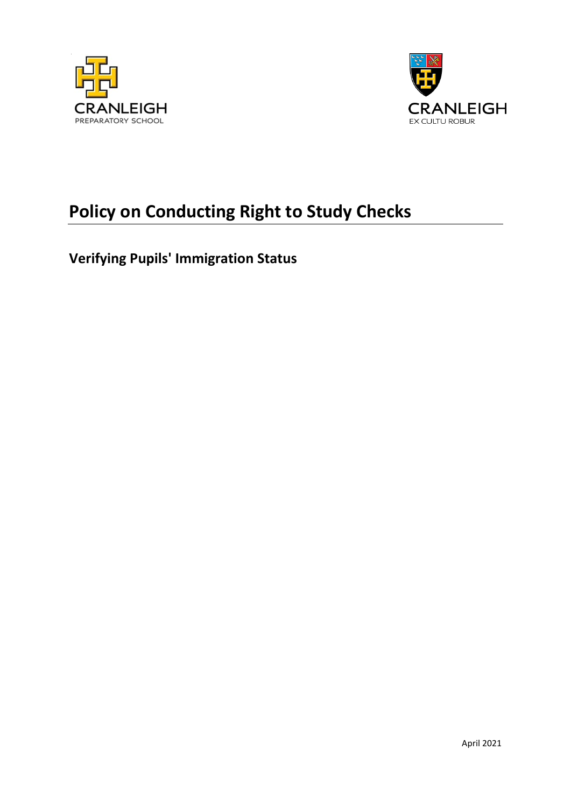



# **Policy on Conducting Right to Study Checks**

**Verifying Pupils' Immigration Status**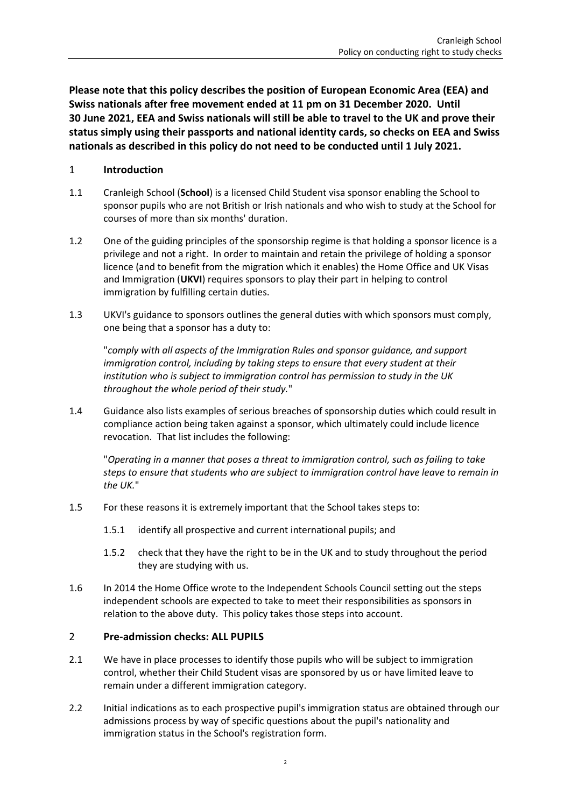**Please note that this policy describes the position of European Economic Area (EEA) and Swiss nationals after free movement ended at 11 pm on 31 December 2020. Until 30 June 2021, EEA and Swiss nationals will still be able to travel to the UK and prove their status simply using their passports and national identity cards, so checks on EEA and Swiss nationals as described in this policy do not need to be conducted until 1 July 2021.**

### 1 **Introduction**

- 1.1 Cranleigh School (**School**) is a licensed Child Student visa sponsor enabling the School to sponsor pupils who are not British or Irish nationals and who wish to study at the School for courses of more than six months' duration.
- 1.2 One of the guiding principles of the sponsorship regime is that holding a sponsor licence is a privilege and not a right. In order to maintain and retain the privilege of holding a sponsor licence (and to benefit from the migration which it enables) the Home Office and UK Visas and Immigration (**UKVI**) requires sponsors to play their part in helping to control immigration by fulfilling certain duties.
- 1.3 UKVI's guidance to sponsors outlines the general duties with which sponsors must comply, one being that a sponsor has a duty to:

"*comply with all aspects of the Immigration Rules and sponsor guidance, and support immigration control, including by taking steps to ensure that every student at their institution who is subject to immigration control has permission to study in the UK throughout the whole period of their study.*"

1.4 Guidance also lists examples of serious breaches of sponsorship duties which could result in compliance action being taken against a sponsor, which ultimately could include licence revocation. That list includes the following:

"*Operating in a manner that poses a threat to immigration control, such as failing to take steps to ensure that students who are subject to immigration control have leave to remain in the UK.*"

- 1.5 For these reasons it is extremely important that the School takes steps to:
	- 1.5.1 identify all prospective and current international pupils; and
	- 1.5.2 check that they have the right to be in the UK and to study throughout the period they are studying with us.
- 1.6 In 2014 the Home Office wrote to the Independent Schools Council setting out the steps independent schools are expected to take to meet their responsibilities as sponsors in relation to the above duty. This policy takes those steps into account.

### 2 **Pre-admission checks: ALL PUPILS**

- 2.1 We have in place processes to identify those pupils who will be subject to immigration control, whether their Child Student visas are sponsored by us or have limited leave to remain under a different immigration category.
- 2.2 Initial indications as to each prospective pupil's immigration status are obtained through our admissions process by way of specific questions about the pupil's nationality and immigration status in the School's registration form.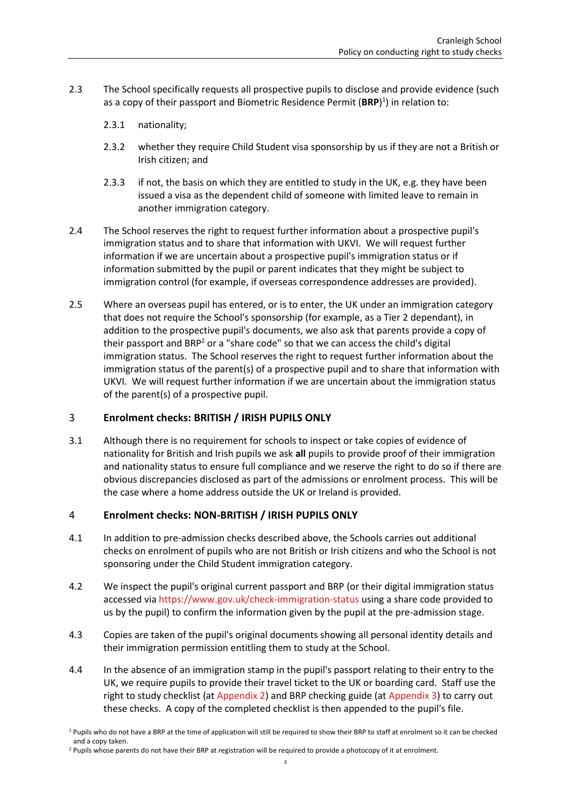- 2.3 The School specifically requests all prospective pupils to disclose and provide evidence (such as a copy of their passport and Biometric Residence Permit (**BRP**) 1 ) in relation to:
	- 2.3.1 nationality;
	- 2.3.2 whether they require Child Student visa sponsorship by us if they are not a British or Irish citizen; and
	- 2.3.3 if not, the basis on which they are entitled to study in the UK, e.g. they have been issued a visa as the dependent child of someone with limited leave to remain in another immigration category.
- 2.4 The School reserves the right to request further information about a prospective pupil's immigration status and to share that information with UKVI. We will request further information if we are uncertain about a prospective pupil's immigration status or if information submitted by the pupil or parent indicates that they might be subject to immigration control (for example, if overseas correspondence addresses are provided).
- 2.5 Where an overseas pupil has entered, or is to enter, the UK under an immigration category that does not require the School's sponsorship (for example, as a Tier 2 dependant), in addition to the prospective pupil's documents, we also ask that parents provide a copy of their passport and BRP<sup>2</sup> or a "share code" so that we can access the child's digital immigration status. The School reserves the right to request further information about the immigration status of the parent(s) of a prospective pupil and to share that information with UKVI. We will request further information if we are uncertain about the immigration status of the parent(s) of a prospective pupil.

### 3 **Enrolment checks: BRITISH / IRISH PUPILS ONLY**

3.1 Although there is no requirement for schools to inspect or take copies of evidence of nationality for British and Irish pupils we ask **all** pupils to provide proof of their immigration and nationality status to ensure full compliance and we reserve the right to do so if there are obvious discrepancies disclosed as part of the admissions or enrolment process. This will be the case where a home address outside the UK or Ireland is provided.

### 4 **Enrolment checks: NON-BRITISH / IRISH PUPILS ONLY**

- 4.1 In addition to pre-admission checks described above, the Schools carries out additional checks on enrolment of pupils who are not British or Irish citizens and who the School is not sponsoring under the Child Student immigration category.
- 4.2 We inspect the pupil's original current passport and BRP (or their digital immigration status accessed vi[a https://www.gov.uk/check-immigration-status](https://www.gov.uk/check-immigration-status%20) using a share code provided to us by the pupil) to confirm the information given by the pupil at the pre-admission stage.
- 4.3 Copies are taken of the pupil's original documents showing all personal identity details and their immigration permission entitling them to study at the School.
- 4.4 In the absence of an immigration stamp in the pupil's passport relating to their entry to the UK, we require pupils to provide their travel ticket to the UK or boarding card. Staff use the right to study checklist (at [Appendix 2\)](#page-9-0) and BRP checking guide (at [Appendix 3\)](#page-13-0) to carry out these checks. A copy of the completed checklist is then appended to the pupil's file.

<sup>&</sup>lt;sup>1</sup> Pupils who do not have a BRP at the time of application will still be required to show their BRP to staff at enrolment so it can be checked and a copy taken.

<sup>&</sup>lt;sup>2</sup> Pupils whose parents do not have their BRP at registration will be required to provide a photocopy of it at enrolment.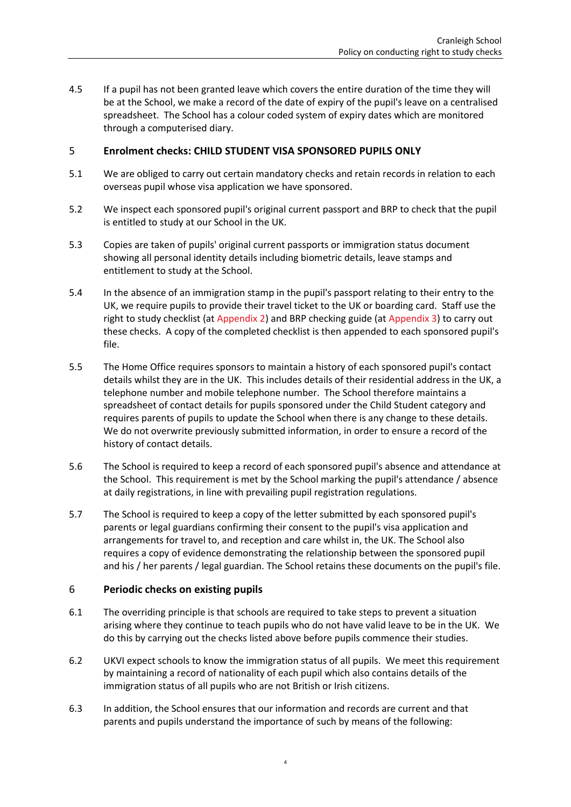4.5 If a pupil has not been granted leave which covers the entire duration of the time they will be at the School, we make a record of the date of expiry of the pupil's leave on a centralised spreadsheet. The School has a colour coded system of expiry dates which are monitored through a computerised diary.

### 5 **Enrolment checks: CHILD STUDENT VISA SPONSORED PUPILS ONLY**

- 5.1 We are obliged to carry out certain mandatory checks and retain records in relation to each overseas pupil whose visa application we have sponsored.
- 5.2 We inspect each sponsored pupil's original current passport and BRP to check that the pupil is entitled to study at our School in the UK.
- 5.3 Copies are taken of pupils' original current passports or immigration status document showing all personal identity details including biometric details, leave stamps and entitlement to study at the School.
- 5.4 In the absence of an immigration stamp in the pupil's passport relating to their entry to the UK, we require pupils to provide their travel ticket to the UK or boarding card. Staff use the right to study checklist (at [Appendix 2\)](#page-9-0) and BRP checking guide (at [Appendix 3\)](#page-13-0) to carry out these checks. A copy of the completed checklist is then appended to each sponsored pupil's file.
- 5.5 The Home Office requires sponsors to maintain a history of each sponsored pupil's contact details whilst they are in the UK. This includes details of their residential address in the UK, a telephone number and mobile telephone number. The School therefore maintains a spreadsheet of contact details for pupils sponsored under the Child Student category and requires parents of pupils to update the School when there is any change to these details. We do not overwrite previously submitted information, in order to ensure a record of the history of contact details.
- 5.6 The School is required to keep a record of each sponsored pupil's absence and attendance at the School. This requirement is met by the School marking the pupil's attendance / absence at daily registrations, in line with prevailing pupil registration regulations.
- 5.7 The School is required to keep a copy of the letter submitted by each sponsored pupil's parents or legal guardians confirming their consent to the pupil's visa application and arrangements for travel to, and reception and care whilst in, the UK. The School also requires a copy of evidence demonstrating the relationship between the sponsored pupil and his / her parents / legal guardian. The School retains these documents on the pupil's file.

### 6 **Periodic checks on existing pupils**

- 6.1 The overriding principle is that schools are required to take steps to prevent a situation arising where they continue to teach pupils who do not have valid leave to be in the UK. We do this by carrying out the checks listed above before pupils commence their studies.
- 6.2 UKVI expect schools to know the immigration status of all pupils. We meet this requirement by maintaining a record of nationality of each pupil which also contains details of the immigration status of all pupils who are not British or Irish citizens.
- 6.3 In addition, the School ensures that our information and records are current and that parents and pupils understand the importance of such by means of the following: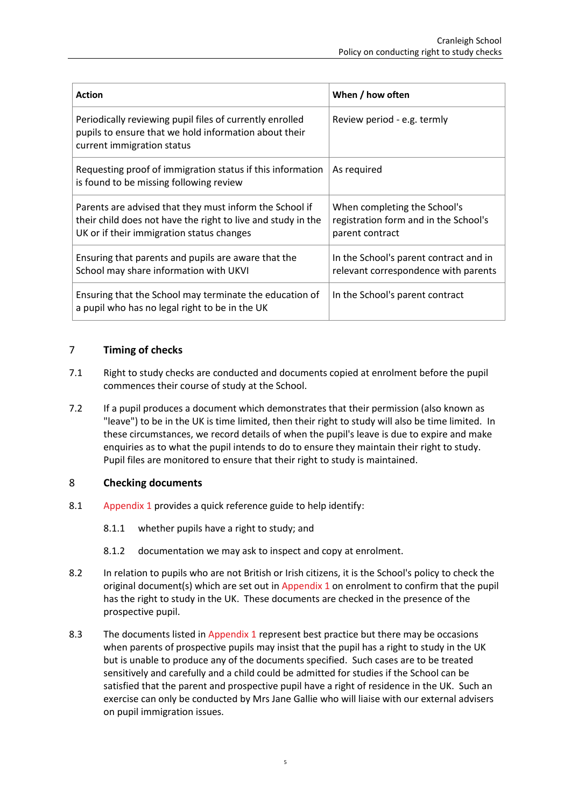| <b>Action</b>                                                                                                                                                        | When / how often                                                                         |
|----------------------------------------------------------------------------------------------------------------------------------------------------------------------|------------------------------------------------------------------------------------------|
| Periodically reviewing pupil files of currently enrolled<br>pupils to ensure that we hold information about their<br>current immigration status                      | Review period - e.g. termly                                                              |
| Requesting proof of immigration status if this information<br>is found to be missing following review                                                                | As required                                                                              |
| Parents are advised that they must inform the School if<br>their child does not have the right to live and study in the<br>UK or if their immigration status changes | When completing the School's<br>registration form and in the School's<br>parent contract |
| Ensuring that parents and pupils are aware that the<br>School may share information with UKVI                                                                        | In the School's parent contract and in<br>relevant correspondence with parents           |
| Ensuring that the School may terminate the education of<br>a pupil who has no legal right to be in the UK                                                            | In the School's parent contract                                                          |

### 7 **Timing of checks**

- 7.1 Right to study checks are conducted and documents copied at enrolment before the pupil commences their course of study at the School.
- 7.2 If a pupil produces a document which demonstrates that their permission (also known as "leave") to be in the UK is time limited, then their right to study will also be time limited. In these circumstances, we record details of when the pupil's leave is due to expire and make enquiries as to what the pupil intends to do to ensure they maintain their right to study. Pupil files are monitored to ensure that their right to study is maintained.

### 8 **Checking documents**

- 8.1 [Appendix 1](#page-6-0) provides a quick reference guide to help identify:
	- 8.1.1 whether pupils have a right to study; and
	- 8.1.2 documentation we may ask to inspect and copy at enrolment.
- 8.2 In relation to pupils who are not British or Irish citizens, it is the School's policy to check the original document(s) which are set out in [Appendix 1](#page-6-0) on enrolment to confirm that the pupil has the right to study in the UK. These documents are checked in the presence of the prospective pupil.
- 8.3 The documents listed in [Appendix 1](#page-6-0) represent best practice but there may be occasions when parents of prospective pupils may insist that the pupil has a right to study in the UK but is unable to produce any of the documents specified. Such cases are to be treated sensitively and carefully and a child could be admitted for studies if the School can be satisfied that the parent and prospective pupil have a right of residence in the UK. Such an exercise can only be conducted by Mrs Jane Gallie who will liaise with our external advisers on pupil immigration issues.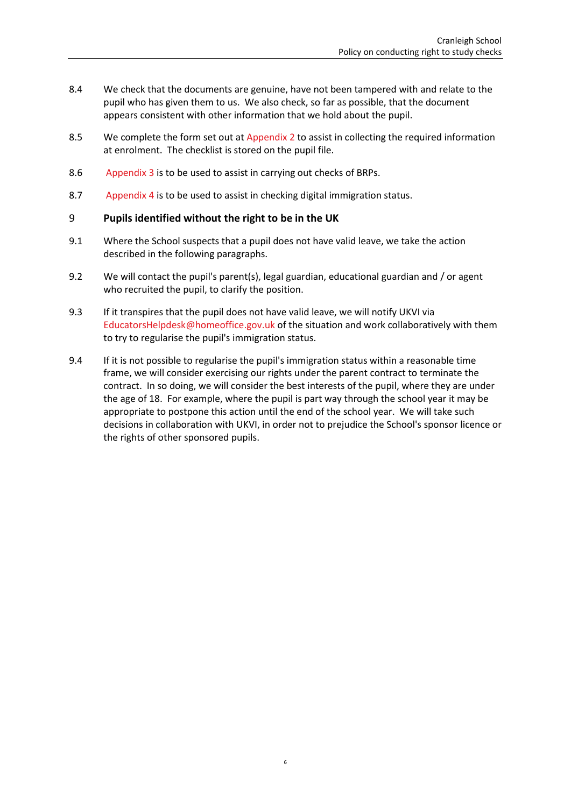- 8.4 We check that the documents are genuine, have not been tampered with and relate to the pupil who has given them to us. We also check, so far as possible, that the document appears consistent with other information that we hold about the pupil.
- 8.5 We complete the form set out at [Appendix 2](#page-9-0) to assist in collecting the required information at enrolment. The checklist is stored on the pupil file.
- 8.6 [Appendix 3](#page-13-0) is to be used to assist in carrying out checks of BRPs.
- 8.7 [Appendix 4](#page-14-0) is to be used to assist in checking digital immigration status.

### 9 **Pupils identified without the right to be in the UK**

- 9.1 Where the School suspects that a pupil does not have valid leave, we take the action described in the following paragraphs.
- 9.2 We will contact the pupil's parent(s), legal guardian, educational guardian and / or agent who recruited the pupil, to clarify the position.
- 9.3 If it transpires that the pupil does not have valid leave, we will notify UKVI via [EducatorsHelpdesk@homeoffice.gov.uk](mailto:EducatorsHelpdesk@homeoffice.gov.uk) of the situation and work collaboratively with them to try to regularise the pupil's immigration status.
- 9.4 If it is not possible to regularise the pupil's immigration status within a reasonable time frame, we will consider exercising our rights under the parent contract to terminate the contract. In so doing, we will consider the best interests of the pupil, where they are under the age of 18. For example, where the pupil is part way through the school year it may be appropriate to postpone this action until the end of the school year. We will take such decisions in collaboration with UKVI, in order not to prejudice the School's sponsor licence or the rights of other sponsored pupils.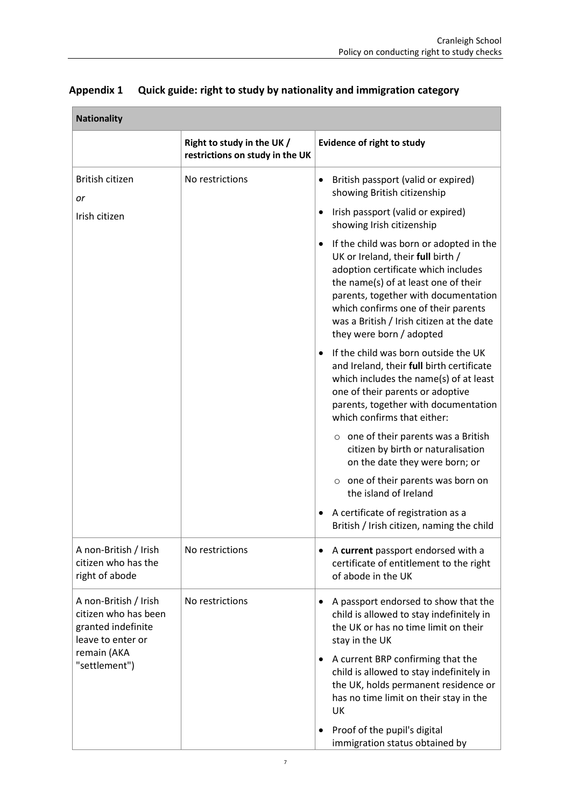| <b>Nationality</b>                                                                       |                                                               |                                                                                                                                                                                                                                                                                                                     |
|------------------------------------------------------------------------------------------|---------------------------------------------------------------|---------------------------------------------------------------------------------------------------------------------------------------------------------------------------------------------------------------------------------------------------------------------------------------------------------------------|
|                                                                                          | Right to study in the UK /<br>restrictions on study in the UK | <b>Evidence of right to study</b>                                                                                                                                                                                                                                                                                   |
| British citizen<br>or                                                                    | No restrictions                                               | British passport (valid or expired)<br>showing British citizenship                                                                                                                                                                                                                                                  |
| Irish citizen                                                                            |                                                               | Irish passport (valid or expired)<br>showing Irish citizenship                                                                                                                                                                                                                                                      |
|                                                                                          |                                                               | If the child was born or adopted in the<br>UK or Ireland, their full birth /<br>adoption certificate which includes<br>the name(s) of at least one of their<br>parents, together with documentation<br>which confirms one of their parents<br>was a British / Irish citizen at the date<br>they were born / adopted |
|                                                                                          |                                                               | If the child was born outside the UK<br>and Ireland, their full birth certificate<br>which includes the name(s) of at least<br>one of their parents or adoptive<br>parents, together with documentation<br>which confirms that either:                                                                              |
|                                                                                          |                                                               | $\circ$ one of their parents was a British<br>citizen by birth or naturalisation<br>on the date they were born; or                                                                                                                                                                                                  |
|                                                                                          |                                                               | $\circ$ one of their parents was born on<br>the island of Ireland                                                                                                                                                                                                                                                   |
|                                                                                          |                                                               | A certificate of registration as a<br>British / Irish citizen, naming the child                                                                                                                                                                                                                                     |
| A non-British / Irish<br>citizen who has the<br>right of abode                           | No restrictions                                               | A current passport endorsed with a<br>certificate of entitlement to the right<br>of abode in the UK                                                                                                                                                                                                                 |
| A non-British / Irish<br>citizen who has been<br>granted indefinite<br>leave to enter or | No restrictions                                               | A passport endorsed to show that the<br>child is allowed to stay indefinitely in<br>the UK or has no time limit on their<br>stay in the UK                                                                                                                                                                          |
| remain (AKA<br>"settlement")                                                             |                                                               | A current BRP confirming that the<br>child is allowed to stay indefinitely in<br>the UK, holds permanent residence or<br>has no time limit on their stay in the<br>UK                                                                                                                                               |
|                                                                                          |                                                               | Proof of the pupil's digital<br>immigration status obtained by                                                                                                                                                                                                                                                      |

### <span id="page-6-0"></span>**Appendix 1 Quick guide: right to study by nationality and immigration category**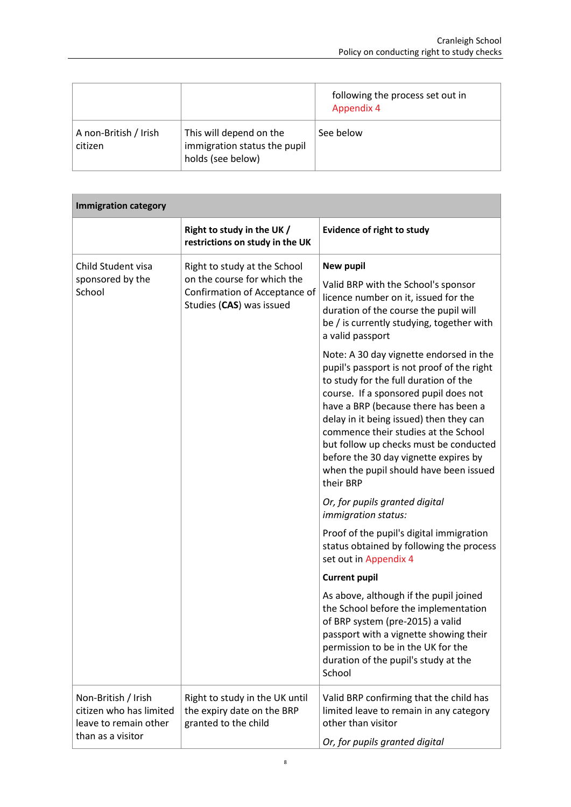|                                  |                                                                              | following the process set out in<br><b>Appendix 4</b> |
|----------------------------------|------------------------------------------------------------------------------|-------------------------------------------------------|
| A non-British / Irish<br>citizen | This will depend on the<br>immigration status the pupil<br>holds (see below) | See below                                             |

| <b>Immigration category</b>                                                                  |                                                                                          |                                                                                                                                                                                                                                                                                                                                                                                                                                              |  |
|----------------------------------------------------------------------------------------------|------------------------------------------------------------------------------------------|----------------------------------------------------------------------------------------------------------------------------------------------------------------------------------------------------------------------------------------------------------------------------------------------------------------------------------------------------------------------------------------------------------------------------------------------|--|
|                                                                                              | Right to study in the UK /<br>restrictions on study in the UK                            | <b>Evidence of right to study</b>                                                                                                                                                                                                                                                                                                                                                                                                            |  |
| Child Student visa                                                                           | Right to study at the School                                                             | <b>New pupil</b>                                                                                                                                                                                                                                                                                                                                                                                                                             |  |
| sponsored by the<br>School                                                                   | on the course for which the<br>Confirmation of Acceptance of<br>Studies (CAS) was issued | Valid BRP with the School's sponsor<br>licence number on it, issued for the<br>duration of the course the pupil will<br>be / is currently studying, together with<br>a valid passport                                                                                                                                                                                                                                                        |  |
|                                                                                              |                                                                                          | Note: A 30 day vignette endorsed in the<br>pupil's passport is not proof of the right<br>to study for the full duration of the<br>course. If a sponsored pupil does not<br>have a BRP (because there has been a<br>delay in it being issued) then they can<br>commence their studies at the School<br>but follow up checks must be conducted<br>before the 30 day vignette expires by<br>when the pupil should have been issued<br>their BRP |  |
|                                                                                              |                                                                                          | Or, for pupils granted digital<br>immigration status:                                                                                                                                                                                                                                                                                                                                                                                        |  |
|                                                                                              |                                                                                          | Proof of the pupil's digital immigration<br>status obtained by following the process<br>set out in Appendix 4                                                                                                                                                                                                                                                                                                                                |  |
|                                                                                              |                                                                                          | <b>Current pupil</b>                                                                                                                                                                                                                                                                                                                                                                                                                         |  |
|                                                                                              |                                                                                          | As above, although if the pupil joined<br>the School before the implementation<br>of BRP system (pre-2015) a valid<br>passport with a vignette showing their<br>permission to be in the UK for the<br>duration of the pupil's study at the<br>School                                                                                                                                                                                         |  |
| Non-British / Irish<br>citizen who has limited<br>leave to remain other<br>than as a visitor | Right to study in the UK until<br>the expiry date on the BRP<br>granted to the child     | Valid BRP confirming that the child has<br>limited leave to remain in any category<br>other than visitor<br>Or, for pupils granted digital                                                                                                                                                                                                                                                                                                   |  |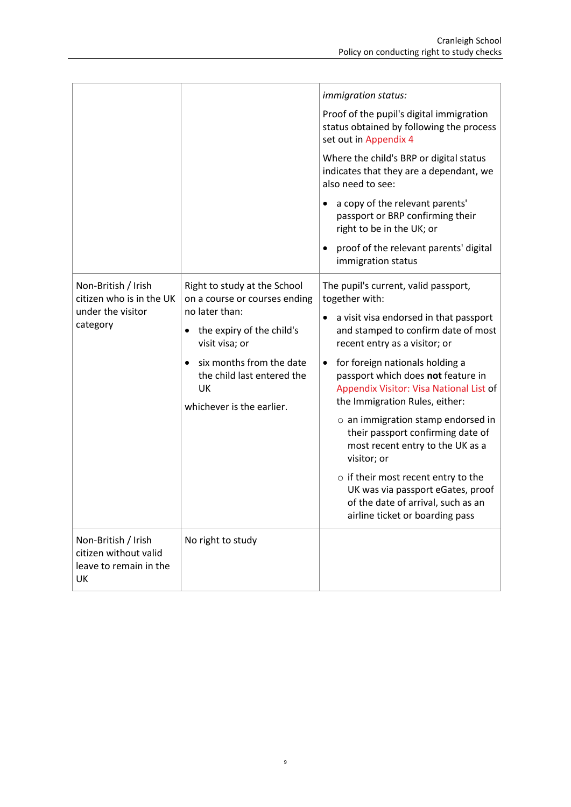|                                                                              |                                                                                           | <i>immigration status:</i>                                                                                                                                      |
|------------------------------------------------------------------------------|-------------------------------------------------------------------------------------------|-----------------------------------------------------------------------------------------------------------------------------------------------------------------|
|                                                                              |                                                                                           | Proof of the pupil's digital immigration<br>status obtained by following the process<br>set out in Appendix 4                                                   |
|                                                                              |                                                                                           | Where the child's BRP or digital status<br>indicates that they are a dependant, we<br>also need to see:                                                         |
|                                                                              |                                                                                           | a copy of the relevant parents'<br>passport or BRP confirming their<br>right to be in the UK; or                                                                |
|                                                                              |                                                                                           | proof of the relevant parents' digital<br>immigration status                                                                                                    |
| Non-British / Irish<br>citizen who is in the UK                              | Right to study at the School<br>on a course or courses ending<br>no later than:           | The pupil's current, valid passport,<br>together with:                                                                                                          |
| under the visitor<br>category                                                | the expiry of the child's<br>visit visa; or                                               | a visit visa endorsed in that passport<br>and stamped to confirm date of most<br>recent entry as a visitor; or                                                  |
|                                                                              | six months from the date<br>the child last entered the<br>UK<br>whichever is the earlier. | for foreign nationals holding a<br>$\bullet$<br>passport which does not feature in<br>Appendix Visitor: Visa National List of<br>the Immigration Rules, either: |
|                                                                              |                                                                                           | $\circ$ an immigration stamp endorsed in<br>their passport confirming date of<br>most recent entry to the UK as a<br>visitor; or                                |
|                                                                              |                                                                                           | $\circ$ if their most recent entry to the<br>UK was via passport eGates, proof<br>of the date of arrival, such as an<br>airline ticket or boarding pass         |
| Non-British / Irish<br>citizen without valid<br>leave to remain in the<br>UK | No right to study                                                                         |                                                                                                                                                                 |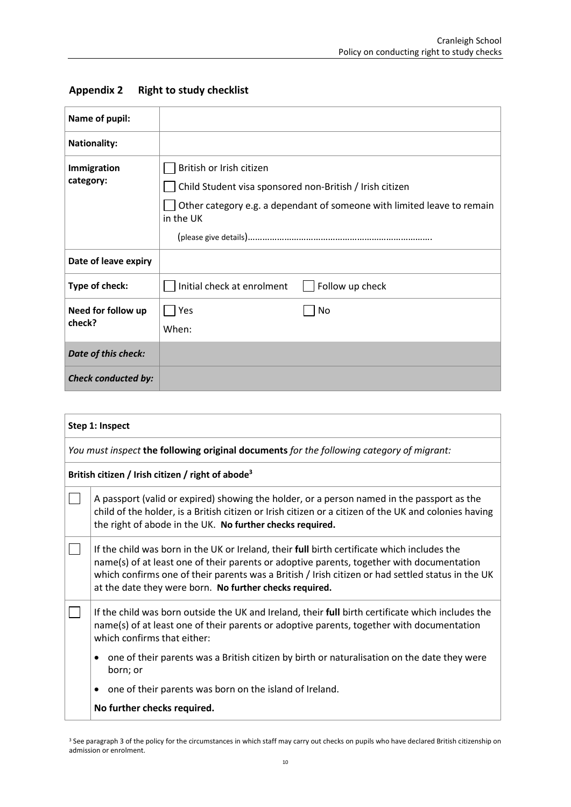| Name of pupil:               |                                                                                                                                                                              |  |
|------------------------------|------------------------------------------------------------------------------------------------------------------------------------------------------------------------------|--|
| <b>Nationality:</b>          |                                                                                                                                                                              |  |
| Immigration<br>category:     | British or Irish citizen<br>Child Student visa sponsored non-British / Irish citizen<br>Other category e.g. a dependant of someone with limited leave to remain<br>in the UK |  |
| Date of leave expiry         |                                                                                                                                                                              |  |
| Type of check:               | Initial check at enrolment<br>Follow up check                                                                                                                                |  |
| Need for follow up<br>check? | Yes<br>No<br>When:                                                                                                                                                           |  |
| Date of this check:          |                                                                                                                                                                              |  |
| <b>Check conducted by:</b>   |                                                                                                                                                                              |  |

### <span id="page-9-0"></span>**Appendix 2 Right to study checklist**

| Step 1: Inspect |                                                                                                                                                                                                                                                                                                                                                          |  |
|-----------------|----------------------------------------------------------------------------------------------------------------------------------------------------------------------------------------------------------------------------------------------------------------------------------------------------------------------------------------------------------|--|
|                 | You must inspect the following original documents for the following category of migrant:                                                                                                                                                                                                                                                                 |  |
|                 | British citizen / Irish citizen / right of abode <sup>3</sup>                                                                                                                                                                                                                                                                                            |  |
|                 | A passport (valid or expired) showing the holder, or a person named in the passport as the<br>child of the holder, is a British citizen or Irish citizen or a citizen of the UK and colonies having<br>the right of abode in the UK. No further checks required.                                                                                         |  |
|                 | If the child was born in the UK or Ireland, their full birth certificate which includes the<br>name(s) of at least one of their parents or adoptive parents, together with documentation<br>which confirms one of their parents was a British / Irish citizen or had settled status in the UK<br>at the date they were born. No further checks required. |  |
|                 | If the child was born outside the UK and Ireland, their full birth certificate which includes the<br>name(s) of at least one of their parents or adoptive parents, together with documentation<br>which confirms that either:                                                                                                                            |  |
|                 | one of their parents was a British citizen by birth or naturalisation on the date they were<br>٠<br>born; or                                                                                                                                                                                                                                             |  |
|                 | one of their parents was born on the island of Ireland.                                                                                                                                                                                                                                                                                                  |  |
|                 | No further checks required.                                                                                                                                                                                                                                                                                                                              |  |

<sup>&</sup>lt;sup>3</sup> See paragraph 3 of the policy for the circumstances in which staff may carry out checks on pupils who have declared British citizenship on admission or enrolment.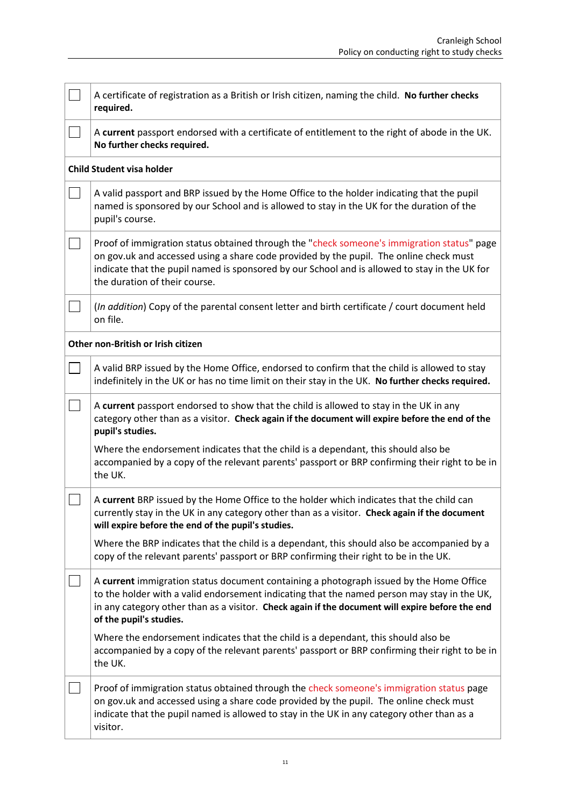| A certificate of registration as a British or Irish citizen, naming the child. No further checks<br>required.                                                                                                                                                                                                          |  |  |
|------------------------------------------------------------------------------------------------------------------------------------------------------------------------------------------------------------------------------------------------------------------------------------------------------------------------|--|--|
| A current passport endorsed with a certificate of entitlement to the right of abode in the UK.<br>No further checks required.                                                                                                                                                                                          |  |  |
| <b>Child Student visa holder</b>                                                                                                                                                                                                                                                                                       |  |  |
| A valid passport and BRP issued by the Home Office to the holder indicating that the pupil<br>named is sponsored by our School and is allowed to stay in the UK for the duration of the<br>pupil's course.                                                                                                             |  |  |
| Proof of immigration status obtained through the "check someone's immigration status" page<br>on gov.uk and accessed using a share code provided by the pupil. The online check must<br>indicate that the pupil named is sponsored by our School and is allowed to stay in the UK for<br>the duration of their course. |  |  |
| (In addition) Copy of the parental consent letter and birth certificate / court document held<br>on file.                                                                                                                                                                                                              |  |  |
| Other non-British or Irish citizen                                                                                                                                                                                                                                                                                     |  |  |
| A valid BRP issued by the Home Office, endorsed to confirm that the child is allowed to stay<br>indefinitely in the UK or has no time limit on their stay in the UK. No further checks required.                                                                                                                       |  |  |
| A current passport endorsed to show that the child is allowed to stay in the UK in any<br>category other than as a visitor. Check again if the document will expire before the end of the<br>pupil's studies.                                                                                                          |  |  |
| Where the endorsement indicates that the child is a dependant, this should also be<br>accompanied by a copy of the relevant parents' passport or BRP confirming their right to be in<br>the UK.                                                                                                                        |  |  |
| A current BRP issued by the Home Office to the holder which indicates that the child can<br>currently stay in the UK in any category other than as a visitor. Check again if the document<br>will expire before the end of the pupil's studies.                                                                        |  |  |
| Where the BRP indicates that the child is a dependant, this should also be accompanied by a<br>copy of the relevant parents' passport or BRP confirming their right to be in the UK.                                                                                                                                   |  |  |
| A current immigration status document containing a photograph issued by the Home Office<br>to the holder with a valid endorsement indicating that the named person may stay in the UK,<br>in any category other than as a visitor. Check again if the document will expire before the end<br>of the pupil's studies.   |  |  |
| Where the endorsement indicates that the child is a dependant, this should also be<br>accompanied by a copy of the relevant parents' passport or BRP confirming their right to be in<br>the UK.                                                                                                                        |  |  |
| Proof of immigration status obtained through the check someone's immigration status page<br>on gov.uk and accessed using a share code provided by the pupil. The online check must<br>indicate that the pupil named is allowed to stay in the UK in any category other than as a<br>visitor.                           |  |  |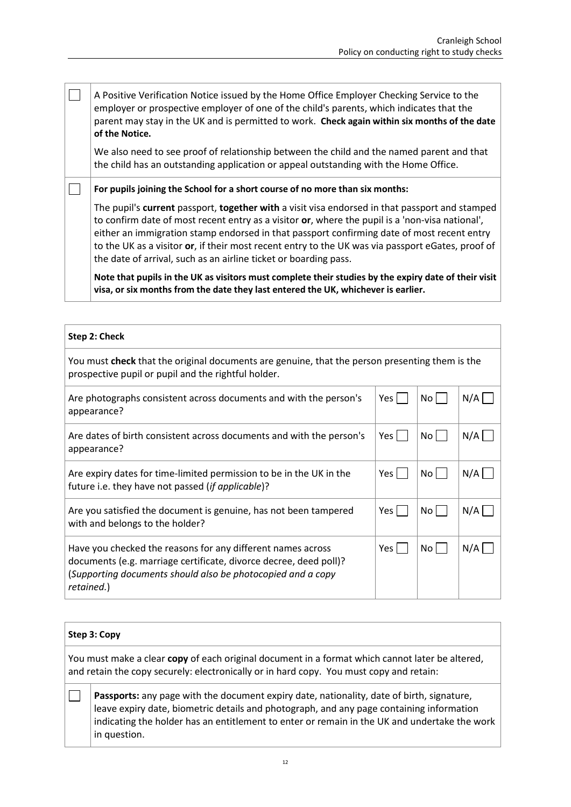$\Box$ A Positive Verification Notice issued by the Home Office Employer Checking Service to the employer or prospective employer of one of the child's parents, which indicates that the parent may stay in the UK and is permitted to work. **Check again within six months of the date of the Notice.** We also need to see proof of relationship between the child and the named parent and that the child has an outstanding application or appeal outstanding with the Home Office.

**For pupils joining the School for a short course of no more than six months:**

The pupil's **current** passport, **together with** a visit visa endorsed in that passport and stamped to confirm date of most recent entry as a visitor **or**, where the pupil is a 'non-visa national', either an immigration stamp endorsed in that passport confirming date of most recent entry to the UK as a visitor **or**, if their most recent entry to the UK was via passport eGates, proof of the date of arrival, such as an airline ticket or boarding pass.

**Note that pupils in the UK as visitors must complete their studies by the expiry date of their visit visa, or six months from the date they last entered the UK, whichever is earlier.**

| Step 2: Check                                                                                                                                                                                                 |       |                 |     |
|---------------------------------------------------------------------------------------------------------------------------------------------------------------------------------------------------------------|-------|-----------------|-----|
| You must check that the original documents are genuine, that the person presenting them is the<br>prospective pupil or pupil and the rightful holder.                                                         |       |                 |     |
| Are photographs consistent across documents and with the person's<br>appearance?                                                                                                                              | Yes   | No l            | N/A |
| Are dates of birth consistent across documents and with the person's<br>appearance?                                                                                                                           | Yes l | No <sub>1</sub> | N/A |
| Are expiry dates for time-limited permission to be in the UK in the<br>future i.e. they have not passed (if applicable)?                                                                                      | Yes   | No l            | N/A |
| Are you satisfied the document is genuine, has not been tampered<br>with and belongs to the holder?                                                                                                           | Yes   | No l            | N/A |
| Have you checked the reasons for any different names across<br>documents (e.g. marriage certificate, divorce decree, deed poll)?<br>(Supporting documents should also be photocopied and a copy<br>retained.) | Yes l | No <sub>1</sub> | N/A |

### **Step 3: Copy**

 $\Box$ 

You must make a clear **copy** of each original document in a format which cannot later be altered, and retain the copy securely: electronically or in hard copy. You must copy and retain:

**Passports:** any page with the document expiry date, nationality, date of birth, signature, leave expiry date, biometric details and photograph, and any page containing information indicating the holder has an entitlement to enter or remain in the UK and undertake the work in question.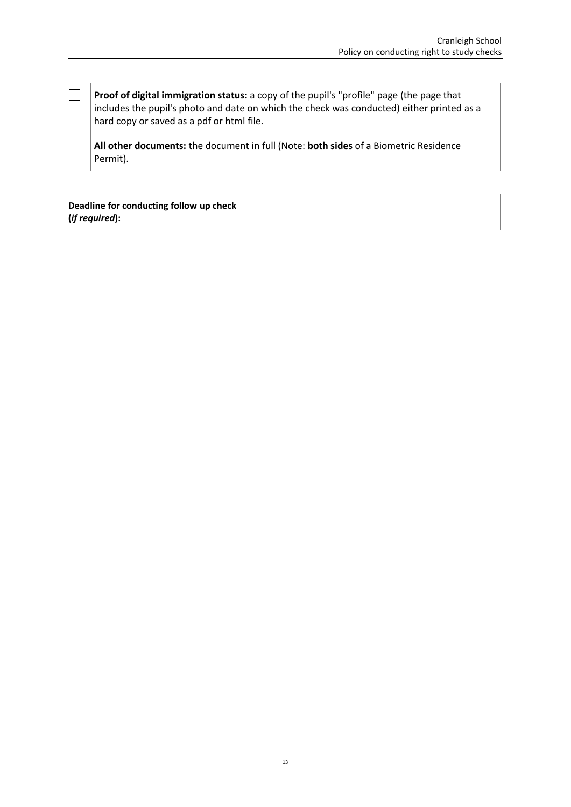**Proof of digital immigration status:** a copy of the pupil's "profile" page (the page that includes the pupil's photo and date on which the check was conducted) either printed as a hard copy or saved as a pdf or html file.

**All other documents:** the document in full (Note: **both sides** of a Biometric Residence Permit).

 $\Box$ 

 $\Box$ 

| Deadline for conducting follow up check |  |
|-----------------------------------------|--|
| $\vert$ (if required):                  |  |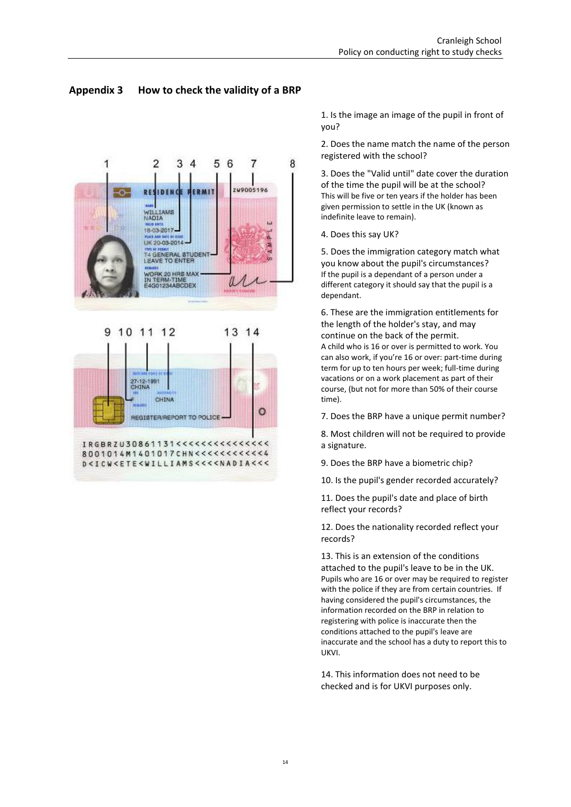### <span id="page-13-0"></span>**Appendix 3 How to check the validity of a BRP**



1. Is the image an image of the pupil in front of you?

2. Does the name match the name of the person registered with the school?

3. Does the "Valid until" date cover the duration of the time the pupil will be at the school? This will be five or ten years if the holder has been given permission to settle in the UK (known as indefinite leave to remain).

4. Does this say UK?

5. Does the immigration category match what you know about the pupil's circumstances? If the pupil is a dependant of a person under a different category it should say that the pupil is a dependant.

6. These are the immigration entitlements for the length of the holder's stay, and may continue on the back of the permit. A child who is 16 or over is permitted to work. You can also work, if you're 16 or over: part-time during term for up to ten hours per week; full-time during vacations or on a work placement as part of their course, (but not for more than 50% of their course time).

7. Does the BRP have a unique permit number?

8. Most children will not be required to provide a signature.

9. Does the BRP have a biometric chip?

10. Is the pupil's gender recorded accurately?

11. Does the pupil's date and place of birth reflect your records?

12. Does the nationality recorded reflect your records?

13. This is an extension of the conditions attached to the pupil's leave to be in the UK. Pupils who are 16 or over may be required to register with the police if they are from certain countries. If having considered the pupil's circumstances, the information recorded on the BRP in relation to registering with police is inaccurate then the conditions attached to the pupil's leave are inaccurate and the school has a duty to report this to UKVI.

14. This information does not need to be checked and is for UKVI purposes only.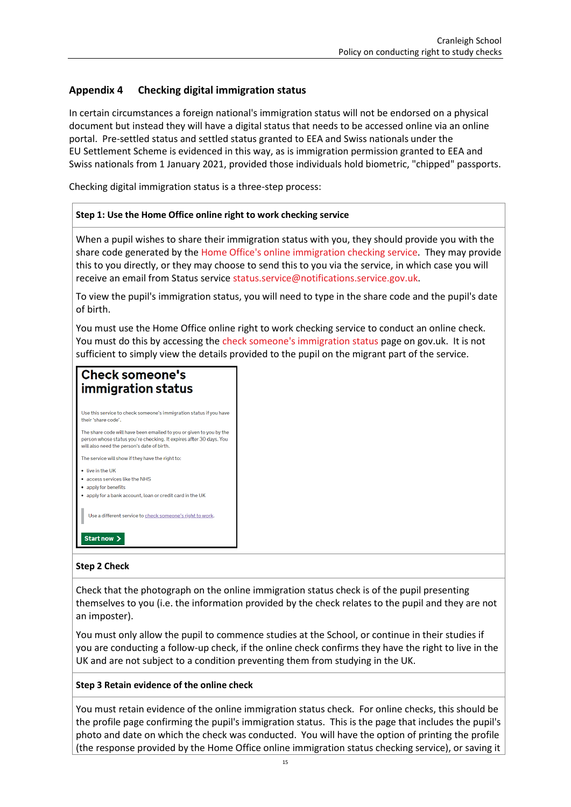### <span id="page-14-0"></span>**Appendix 4 Checking digital immigration status**

In certain circumstances a foreign national's immigration status will not be endorsed on a physical document but instead they will have a digital status that needs to be accessed online via an online portal. Pre-settled status and settled status granted to EEA and Swiss nationals under the EU Settlement Scheme is evidenced in this way, as is immigration permission granted to EEA and Swiss nationals from 1 January 2021, provided those individuals hold biometric, "chipped" passports.

Checking digital immigration status is a three-step process:

#### **Step 1: Use the Home Office online right to work checking service**

When a pupil wishes to share their immigration status with you, they should provide you with the share code generated by th[e Home Office's online immigration checking](https://www.gov.uk/view-prove-immigration-status) service. They may provide this to you directly, or they may choose to send this to you via the service, in which case you will receive an email from Status service [status.service@notifications.service.gov.uk.](mailto:status.service@notifications.service.gov.uk)

To view the pupil's immigration status, you will need to type in the share code and the pupil's date of birth.

You must use the Home Office online right to work checking service to conduct an online check. You must do this by accessing the [check someone's immigration status](https://www.gov.uk/check-immigration-status) page on gov.uk. It is not sufficient to simply view the details provided to the pupil on the migrant part of the service.

### **Check someone's** immigration status

Use this service to check someone's immigration status if you have their 'share code' The share code will have been emailed to you or given to you by the person whose status you're checking. It expires after 30 days. You will also need the person's date of birth. The service will show if they have the right to: • live in the UK · access services like the NHS • apply for benefits . apply for a bank account, loan or credit card in the UK Use a different service to check someone's right to work.

## Start now >

#### **Step 2 Check**

Check that the photograph on the online immigration status check is of the pupil presenting themselves to you (i.e. the information provided by the check relates to the pupil and they are not an imposter).

You must only allow the pupil to commence studies at the School, or continue in their studies if you are conducting a follow-up check, if the online check confirms they have the right to live in the UK and are not subject to a condition preventing them from studying in the UK.

#### **Step 3 Retain evidence of the online check**

You must retain evidence of the online immigration status check. For online checks, this should be the profile page confirming the pupil's immigration status. This is the page that includes the pupil's photo and date on which the check was conducted. You will have the option of printing the profile (the response provided by the Home Office online immigration status checking service), or saving it